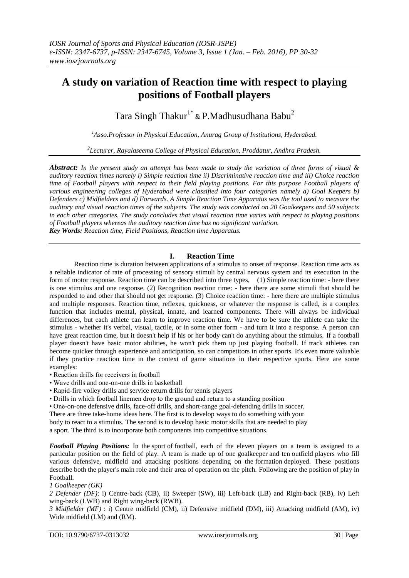# **A study on variation of Reaction time with respect to playing positions of Football players**

Tara Singh Thakur<sup>1\*</sup> & P.Madhusudhana Babu<sup>2</sup>

*<sup>1</sup>Asso.Professor in Physical Education, Anurag Group of Institutions, Hyderabad.*

*2 Lecturer, Rayalaseema College of Physical Education, Proddatur, Andhra Pradesh.*

*Abstract: In the present study an attempt has been made to study the variation of three forms of visual & auditory reaction times namely i) Simple reaction time ii) Discriminative reaction time and iii) Choice reaction time of Football players with respect to their field playing positions. For this purpose Football players of various engineering colleges of Hyderabad were classified into four categories namely a) Goal Keepers b) Defenders c) Midfielders and d) Forwards. A Simple Reaction Time Apparatus was the tool used to measure the auditory and visual reaction times of the subjects. The study was conducted on 20 Goalkeepers and 50 subjects in each other categories. The study concludes that visual reaction time varies with respect to playing positions of Football players whereas the auditory reaction time has no significant variation. Key Words: Reaction time, Field Positions, Reaction time Apparatus.*

**I. Reaction Time**

Reaction time is duration between applications of a stimulus to onset of response. Reaction time acts as a reliable indicator of rate of processing of sensory stimuli by central nervous system and its execution in the form of motor response. Reaction time can be described into three types, (1) Simple reaction time: - here there is one stimulus and one response. (2) Recognition reaction time: - here there are some stimuli that should be responded to and other that should not get response. (3) Choice reaction time: - here there are multiple stimulus and multiple responses. Reaction time, reflexes, quickness, or whatever the response is called, is a complex function that includes mental, physical, innate, and learned components. There will always be individual differences, but each athlete can learn to improve reaction time. We have to be sure the athlete can take the stimulus - whether it's verbal, visual, tactile, or in some other form - and turn it into a response. A person can have great reaction time, but it doesn't help if his or her body can't do anything about the stimulus. If a football player doesn't have basic motor abilities, he won't pick them up just playing football. If track athletes can become quicker through experience and anticipation, so can competitors in other sports. It's even more valuable if they practice reaction time in the context of game situations in their respective sports. Here are some examples:

- Reaction drills for receivers in football
- Wave drills and one-on-one drills in basketball
- Rapid-fire volley drills and service return drills for tennis players
- Drills in which football linemen drop to the ground and return to a standing position
- One-on-one defensive drills, face-off drills, and short-range goal-defending drills in soccer.
- There are three take-home ideas here. The first is to develop ways to do something with your
- body to react to a stimulus. The second is to develop basic motor skills that are needed to play

a sport. The third is to incorporate both components into competitive situations.

*Football Playing Positions:* In the [sport](http://en.wikipedia.org/wiki/Sport) of [football,](http://en.wikipedia.org/wiki/Association_football) each of the eleven players on a team is assigned to a particular position on the field of play. A team is made up of one [goalkeeper](http://en.wikipedia.org/wiki/Goalkeeper_(association_football)) and ten [outfield](http://en.wikipedia.org/wiki/Outfield) players who fill various defensive, midfield and attacking positions depending on the [formation](http://en.wikipedia.org/wiki/Formation_(association_football)) deployed. These positions describe both the player's main role and their area of operation on the pitch. Following are the position of play in Football.

# *[1 Goalkeeper \(GK\)](http://en.wikipedia.org/wiki/Association_football_positions#Goalkeeper_.28GK.29)*

 $\overline{\phantom{a}}$ 

*[2 Defender \(DF\)](http://en.wikipedia.org/wiki/Association_football_positions#Defender_.28DF.29)*: i) [Centre-back \(CB\),](http://en.wikipedia.org/wiki/Association_football_positions#Centre-back_.28CB.29) ii) [Sweeper \(SW\),](http://en.wikipedia.org/wiki/Association_football_positions#Sweeper_.28SW.29) iii) [Left-back \(LB\) and Right-back \(RB\),](http://en.wikipedia.org/wiki/Association_football_positions#Left-back_.28LB.29_and_Right-back_.28RB.29) iv) [Left](http://en.wikipedia.org/wiki/Association_football_positions#Left_wing-back_.28LWB.29_and_Right_wing-back_.28RWB.29)  [wing-back \(LWB\) and Right wing-back \(RWB\).](http://en.wikipedia.org/wiki/Association_football_positions#Left_wing-back_.28LWB.29_and_Right_wing-back_.28RWB.29)

*[3 Midfielder \(MF\)](http://en.wikipedia.org/wiki/Association_football_positions#Midfielder_.28MF.29)* : i) [Centre midfield \(CM\),](http://en.wikipedia.org/wiki/Association_football_positions#Centre_midfield_.28CM.29) [ii\) Defensive midfield \(DM\),](http://en.wikipedia.org/wiki/Association_football_positions#Defensive_midfield_.28DM.29) iii) [Attacking midfield \(AM\),](http://en.wikipedia.org/wiki/Association_football_positions#Attacking_midfield_.28AM.29) iv) [Wide midfield \(LM\) and \(RM\).](http://en.wikipedia.org/wiki/Association_football_positions#Wide_midfield_.28LM.29_and_.28RM.29)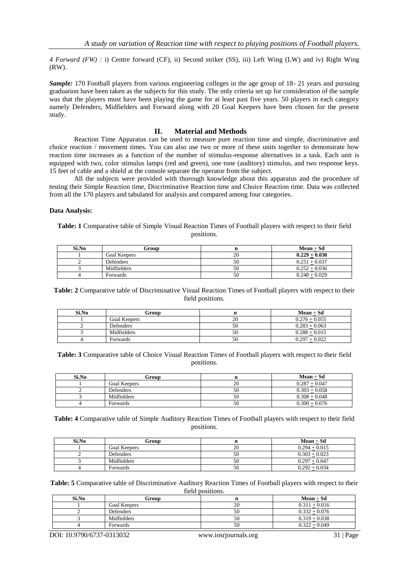*[4 Forward \(FW\)](http://en.wikipedia.org/wiki/Association_football_positions#Forward_.28FW.29) :* i) [Centre forward \(CF\),](http://en.wikipedia.org/wiki/Association_football_positions#Centre_forward_.28CF.29) ii) [Second striker \(SS\),](http://en.wikipedia.org/wiki/Association_football_positions#Second_striker_.28SS.29) iii) [Left Wing \(LW\) and iv\) Right Wing](http://en.wikipedia.org/wiki/Association_football_positions#Left_Wing_.28LW.29_and_Right_Wing_.28RW.29)  [\(RW\).](http://en.wikipedia.org/wiki/Association_football_positions#Left_Wing_.28LW.29_and_Right_Wing_.28RW.29)

*Sample:* 170 Football players from various engineering colleges in the age group of 18- 21 years and pursuing graduation have been taken as the subjects for this study. The only criteria set up for consideration of the sample was that the players must have been playing the game for at least past five years. 50 players in each category namely Defenders, Midfielders and Forward along with 20 Goal Keepers have been chosen for the present study.

## **II. Material and Methods**

Reaction Time Apparatus can be used to measure pure reaction time and simple, discriminative and choice reaction / movement times. You can also use two or more of these units together to demonstrate how reaction time increases as a function of the number of stimulus-response alternatives in a task. Each unit is equipped with two, color stimulus lamps (red and green), one tone (auditory) stimulus, and two response keys. 15 feet of cable and a shield at the console separate the operator from the subject.

All the subjects were provided with thorough knowledge about this apparatus and the procedure of testing their Simple Reaction time, Discriminative Reaction time and Choice Reaction time. Data was collected from all the 170 players and tabulated for analysis and compared among four categories.

### **Data Analysis:**

**Table: 1** Comparative table of Simple Visual Reaction Times of Football players with respect to their field positions.

| Si.No | Group               |    | $Mean + Sd$     |
|-------|---------------------|----|-----------------|
|       | <b>Goal Keepers</b> |    | $0.229 + 0.030$ |
|       | Defenders           | ЭU | $0.251 + 0.037$ |
|       | Midfielders         | эu | $0.252 + 0.036$ |
|       | Forwards            | 50 | $0.248 + 0.029$ |

**Table: 2** Comparative table of Discriminative Visual Reaction Times of Football players with respect to their field positions.

| Si.No | Group               |    | $Mean + Sd$     |
|-------|---------------------|----|-----------------|
|       | <b>Goal Keepers</b> | 20 | $0.276 + 0.055$ |
|       | Defenders           | 50 | $0.283 + 0.063$ |
|       | Midfielders         | 50 | $0.288 + 0.015$ |
|       | Forwards            | 50 | $0.297 + 0.022$ |

**Table: 3** Comparative table of Choice Visual Reaction Times of Football players with respect to their field positions.

| Si.No | Group               |    | $Mean + Sd$     |
|-------|---------------------|----|-----------------|
|       | <b>Goal Keepers</b> | 20 | $0.287 + 0.047$ |
|       | Defenders           | эU | $0.303 + 0.058$ |
|       | Midfielders         | эU | $0.308 + 0.048$ |
|       | Forwards            | 50 | $0.300 + 0.076$ |

**Table: 4** Comparative table of Simple Auditory Reaction Times of Football players with respect to their field positions.

| Si.No | Group               |    | $Mean + Sd$     |
|-------|---------------------|----|-----------------|
|       | <b>Goal Keepers</b> | 20 | $0.294 + 0.015$ |
|       | Defenders           | 50 | $0.303 + 0.023$ |
|       | Midfielders         | эU | $0.297 + 0.047$ |
|       | Forwards            | 50 | $0.292 + 0.034$ |

**Table: 5** Comparative table of Discriminative Auditory Reaction Times of Football players with respect to their field positions.

| Si.No | Group               |    | $Mean + Sd$     |
|-------|---------------------|----|-----------------|
|       | <b>Goal Keepers</b> | າເ | $0.311 + 0.016$ |
|       | Defenders           | 50 | $0.332 + 0.076$ |
|       | Midfielders         | 50 | $0.319 + 0.038$ |
|       | Forwards            | 50 | $0.322 + 0.049$ |